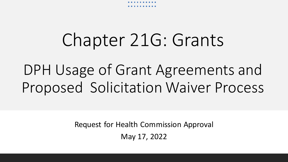

## Chapter 21G: Grants

DPH Usage of Grant Agreements and Proposed Solicitation Waiver Process

> Request for Health Commission Approval May 17, 2022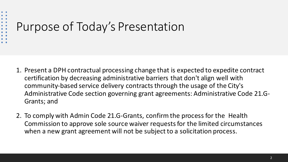### $\begin{array}{c} \bullet\hspace{1mm}\bullet\hspace{1mm}\bullet\hspace{1mm} \bullet \end{array}$ Purpose of Today's Presentation

- 1. Present a DPH contractual processing change that is expected to expedite contract certification by decreasing administrative barriers that don't align well with community-based service delivery contracts through the usage of the City's Administrative Code section governing grant agreements: Administrative Code 21.G-Grants; and
- 2. To comply with Admin Code 21.G-Grants, confirm the process for the Health Commission to approve sole source waiver requests for the limited circumstances when a new grant agreement will not be subject to a solicitation process.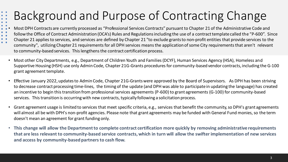### Background and Purpose of Contracting Change

 $\begin{array}{c} \bullet & \bullet \\ \bullet & \bullet \end{array}$  $\bullet$ 

- • Most DPH Contracts are currently processed as "Professional Services Contracts" pursuant to Chapter 21 of the Administrative Code and
- $\begin{array}{cc} \bullet & \bullet \\ \bullet & \bullet \end{array}$ follow the Office of Contract Administration (OCA's) Rules and Regulations including the use of a contract template called the "P-600". Since
- $\begin{array}{cc} \bullet & \bullet \\ \bullet & \bullet \end{array}$ Chapter 21 applies to services, and services are defined by Chapter 21 "to exclude grants to non-profit entities that provide services to the community", utilizing Chapter 21 requirements for all DPH services means the application of some City requirements that aren't relevant to community-based services. This lengthens the contract certification process.
	- Most other City Departments, e.g., Department of Children Youth and Families (DCYF), Human Services Agency (HSA), Homeless and Supportive Housing (HSH) use only Admin Code, Chapter 21G-Grants procedures for community-based vendor contracts, including the G-100 grant agreement template.
	- Effective January 2022, updates to Admin Code, Chapter 21G-Grants were approved by the Board of Supervisors. As DPH has been striving to decrease contract processing time-lines, the timing of the update (and DPH was able to participate in updating the language) has created an incentive to begin this transition from professional services agreements (P-600) to grant agreements (G-100) for community-based services. This transition is occurring with new contracts, typically following a solicitation process.
	- Grant agreement usage is limited to services that meet specific criteria, e.g., services that benefit the community, so DPH's grant agreements will almost all be with DPH's non-profit agencies. Please note that grant agreements may be funded with General Fund monies, so the term doesn't mean an agreement for grant funding only.
	- **This change will allow the Department to complete contract certification more quickly by removing administrative requirements that are less relevant to community-based service contracts, which in turn will allow the swifter implementation of new services and access by community-based partners to cash flow.**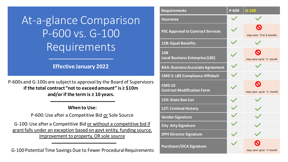At-a-glance Comparison P-600 vs. G-100 Requirements

#### **Effective January 2022**

P-600s and G-100s are subject to approval by the Board of Supervisors **if the total contract "not to exceed amount" is ≥ \$10m and/or if the term is ≥ 10 years.**

#### **When to Use:**

P-600: Use after a Competitive Bid or Sole Source

G-100: Use after a Competitive Bid or without a competitive bid if grant falls under an exception based on govt entity, funding source, improvement to property, OR sole source

G-100 Potential Time Savings Due to Fewer Procedural Requirements

| <b>Requirements</b>                                  | P-600 | $G-100$                                          |
|------------------------------------------------------|-------|--------------------------------------------------|
| <b>Insurance</b>                                     |       |                                                  |
| <b>PSC Approval to Contract Services</b>             |       | may save ~3 to 9 months                          |
| 12B: Equal Benefits                                  |       |                                                  |
| <b>14B</b><br><b>Local Business Enterprise (LBE)</b> |       | may save up to ~1 month                          |
| <b>BAA: Business Associate Agreement</b>             |       |                                                  |
| <b>CMD 3: LBE Compliance Affidavit</b>               |       |                                                  |
| <b>CMD10</b><br><b>Contract Modification Form</b>    |       | $\boldsymbol{\Omega}$<br>may save up to ~1 month |
| 12X: State Ban List                                  |       |                                                  |
| 12T: Criminal History                                |       |                                                  |
| <b>Vendor Signature</b>                              |       |                                                  |
| <b>City Atty Signature</b>                           |       |                                                  |
| <b>DPH Director Signature</b>                        |       |                                                  |
| <b>Purchaser/OCA Signature</b>                       |       | may save up to $\sim$ 1 month                    |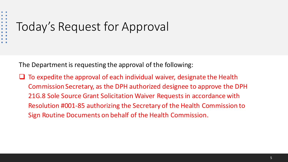# Today's Request for Approval

 $\bullet$   $\bullet$  $\ddot{\bullet}$ 

The Department is requesting the approval of the following:

 $\Box$  To expedite the approval of each individual waiver, designate the Health Commission Secretary, as the DPH authorized designee to approve the DPH 21G.8 Sole Source Grant Solicitation Waiver Requests in accordance with Resolution #001-85 authorizing the Secretary of the Health Commission to Sign Routine Documents on behalf of the Health Commission.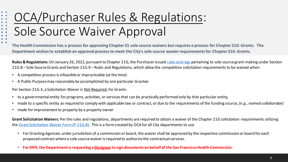### OCA/Purchaser Rules & Regulations: Sole Source Waiver Approval

**The Health Commission has a process for approving Chapter 21 sole source waivers but requires a process for Chapter 21G-Grants. The Department wishes to establish an approval process to meet the City's sole source wavier requirements for Chapter 21G-Grants.**

**Rules & Regulations:** On January 26, 2022, pursuant to Chapter 21G, the Purchaser issued rules and regs pertaining to sole source grant-making under Section 21G.8 – Sole Source Grants and Section 21G.9 – Rules and Regulations, which allow the competitive solicitation requirements to be waived when:

• A competitive process is infeasible or impracticable (at the time)

 $\begin{array}{c} \bullet\hspace{1mm}\bullet\hspace{1mm} \bullet \\ \bullet\hspace{1mm}\bullet\hspace{1mm} \bullet \\ \bullet\hspace{1mm}\bullet\hspace{1mm} \bullet \end{array}$ 

 $\bullet \quad \bullet$  $\bullet$  $\begin{array}{c} \bullet \\ \bullet \\ \bullet \end{array}$  $\bullet$  $\bullet$   $\bullet$ 

• A Public Purpose may reasonably be accomplished by one particular Grantee

Per Section 21G.3, a Solicitation Waiver is Not Required, for Grants:

- to a governmental entity for programs, activities, or services that can be practically performed only by that particular entity,
- made to a specific entity as required to comply with applicable law or contract, or due to the requirements of the funding source, *(e.g., named collaborator)*
- made for improvement to property by a property owner

**Grant Solicitation Waivers**: Per the rules and regulations, departments are required to obtain a waiver of the Chapter 21G solicitation requirements utilizing the Grant Solicitation Waiver Form (P-21G.8). This is a form created by OCA for all City departments to use.

- For Granting Agencies under jurisdiction of a commission or board, the waiver shall be approved by the respective commission or board for each proposed contract where a sole source waiver is required to authorize the contractual services.
- **For DPH, the Department is requesting a Designee to sign documents on behalf of the San Francisco Health Commission.**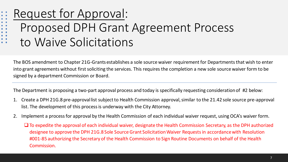### Request for Approval:

 $\begin{array}{c} \bullet \\ \bullet \\ \bullet \end{array}$  $\bullet$   $\bullet$ 

 $\begin{array}{c} \bullet \\ \bullet \\ \bullet \\ \bullet \end{array}$ 

 $\bullet$  $\bullet$   $\bullet$ 

- Proposed DPH Grant Agreement Process
- to Waive Solicitations

The BOS amendment to Chapter 21G-Grants establishes a sole source waiver requirement for Departments that wish to enter into grant agreements without first soliciting the services. This requires the completion a new sole source waiver form to be signed by a department Commission or Board.

The Department is proposing a two-part approval process and today is specifically requesting consideration of #2 below:

- 1. Create a DPH 21G.8 pre-approval list subject to Health Commission approval, similar to the 21.42 sole source pre-approval list. The development of this process is underway with the City Attorney.
- 2. Implement a process for approval by the Health Commission of each individual waiver request, using OCA's waiver form.
	- ❑ To expedite the approval of each individual waiver, designate the Health Commission Secretary, as the DPH authorized designee to approve the DPH 21G.8 Sole Source Grant Solicitation Waiver Requests in accordance with Resolution #001-85 authorizing the Secretary of the Health Commission to Sign Routine Documents on behalf of the Health Commission.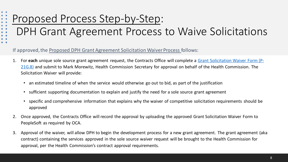#### Proposed Process Step-by-Step:  $\begin{array}{c} \bullet \\ \bullet \\ \bullet \end{array}$  $\bullet$   $\bullet$

 $\bullet$   $\bullet$ 

 $\ddot{\bullet}$ 

 $\bullet$ 

DPH Grant Agreement Process to Waive Solicitations

#### If approved, the Proposed DPH Grant Agreement Solicitation Waiver Process follows:

- 1. For **each** unique sole source grant agreement request, the Contracts Office will complete a Grant Solicitation Waiver Form (P-21G.8) and submit to Mark Morewitz, Health Commission Secretary for approval on behalf of the Health Commission. The Solicitation Waiver will provide:
	- an estimated timeline of when the service would otherwise go out to bid, as part of the justification
	- sufficient supporting documentation to explain and justify the need for a sole source grant agreement
	- specific and comprehensive information that explains why the waiver of competitive solicitation requirements should be approved
- 2. Once approved, the Contracts Office will record the approval by uploading the approved Grant Solicitation Waiver Form to PeopleSoft as required by OCA.
- 3. Approval of the waiver, will allow DPH to begin the development process for a new grant agreement. The grant agreement (aka contract) containing the services approved in the sole source waiver request will be brought to the Health Commission for approval, per the Health Commission's contract approval requirements.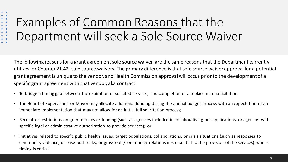### Examples of Common Reasons that the Department will seek a Sole Source Waiver

The following reasons for a grant agreement sole source waiver, are the same reasons that the Department currently utilizes for Chapter 21.42 sole source waivers. The primary difference is that sole source waiver approval for a potential grant agreement is unique to the vendor, and Health Commission approval will occur prior to the development of a specific grant agreement with that vendor, aka contract:

- To bridge a timing gap between the expiration of solicited services, and completion of a replacement solicitation.
- The Board of Supervisors' or Mayor may allocate additional funding during the annual budget process with an expectation of an immediate implementation that may not allow for an initial full solicitation process;
- Receipt or restrictions on grant monies or funding (such as agencies included in collaborative grant applications, or agencies with specific legal or administrative authorization to provide services); or
- Initiatives related to specific public health issues, target populations, collaborations, or crisis situations (such as responses to community violence, disease outbreaks, or grassroots/community relationships essential to the provision of the services) where timing is critical.